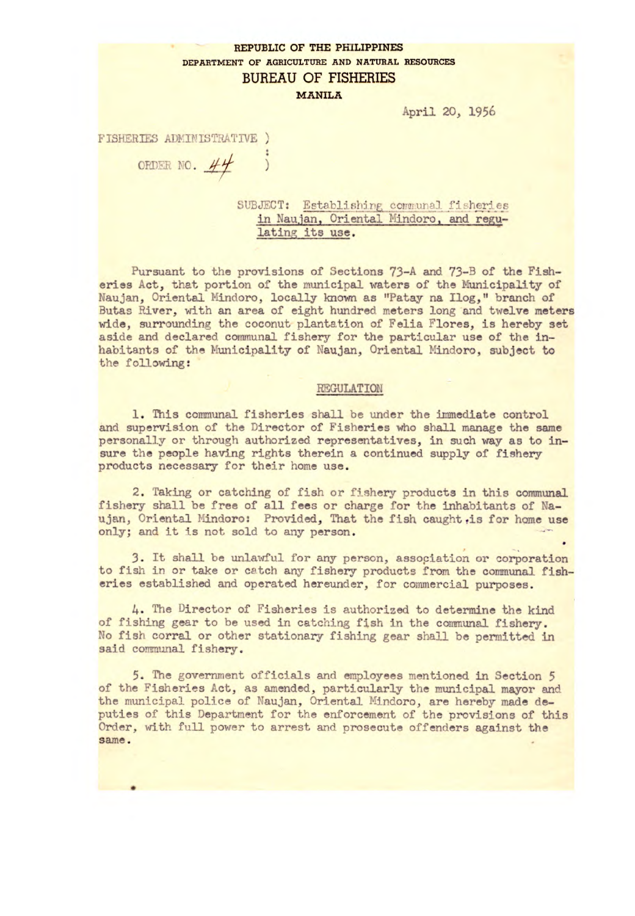## **REPUBLIC OF THE PHILIPPINES DEPARTMENT OF AGRICULTURE AND NATURAL RESOURCES**  BUREAU OF FISHERIES REPUBLIC OF<br>
BUREAU<br>
BUREAU<br>
M<br>
STRATIVE )<br>
SUBJECT: 1

**MANILA** 

April 20, 1956

FISHERIES ADMINISTRATIVE )

SUBJECT: Establishing communal fisheries in Naujan, Oriental Mindoro, and regulating its use.

Pursuant to the provisions of Sections 73-A *and* 73-B of the Fisheries Act, that portion of the municipal waters of the Municipality of Naujan, Oriental Mindoro, locally known as "Patay na Ilog," branch of Butas River, with an area of eight hundred meters long and twelve meters wide, surrounding the coconut plantation of Felia Flores, is hereby set aside and declared communal fishery for the particular use of the inhabitants of the Municipality of Naujan, Oriental Nindoro, subject to the following:

## REGULATION

1. This communal fisheries shall be under the immediate control and supervision of the Director of Fisheries who shall manage the same personally or through authorized representatives, in such way as to insure the people having rights therein a continued supply of fishery products necessary for their home use.

2. Taking or catching of fish or fishery products in this communal fishery shall be free of all fees or charge for the inhabitants of Naujan, Oriental Mindoro: Provided, That the fish caught is for home use only; and it is not sold to any person.

3. It shall be unlawful for any person, association or corporation to fish in or take or catch any fishery products from the communal fisheries established *and* operated hereunder, for commercial purposes.

4. The Director of Fisheries is authorized to determine the kind of fishing gear to be used in catching fish in the communal fishery. No fish corral or other stationary fishing gear shall be permitted in said communal fishery.

5. The government officials and employees mentioned in Section *<sup>5</sup>* of the Fisheries Act, as amended, particularly the municipal mayor and the municipal police of Naujan, Oriental Mindoro, are hereby made deputies of this Department for the enforcement of the provisions of this Order, with full power to arrest and prosecute offenders against the same.